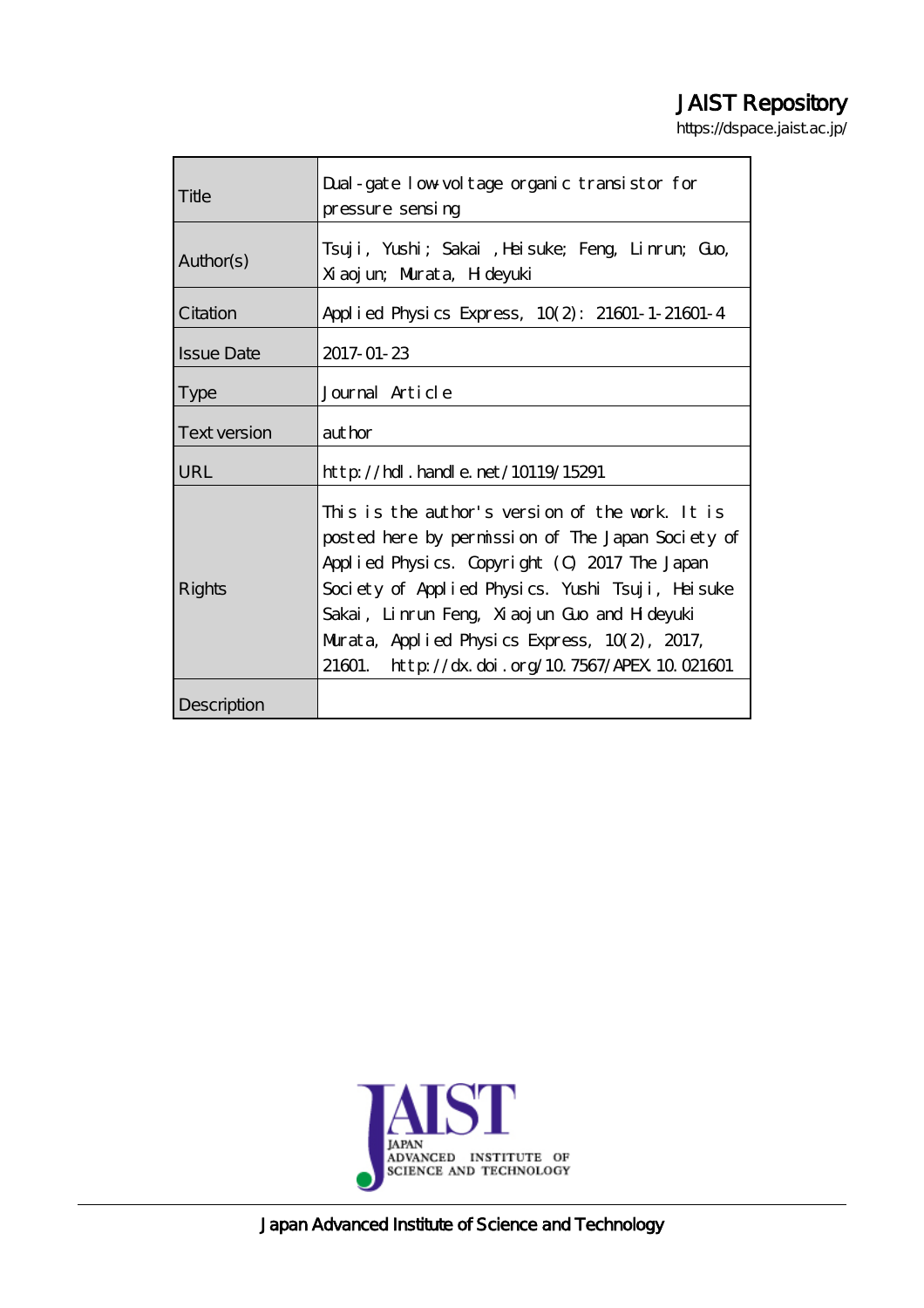# JAIST Repository

https://dspace.jaist.ac.jp/

| Title               | Dual-gate low voltage organic transistor for<br>pressure sensing                                                                                                                                                                                                                                                                                                 |
|---------------------|------------------------------------------------------------------------------------------------------------------------------------------------------------------------------------------------------------------------------------------------------------------------------------------------------------------------------------------------------------------|
| Author(s)           | Tsuji, Yushi; Sakai ,Heisuke; Feng, Linrum, Guo,<br>Xiaojun; Murata, H deyuki                                                                                                                                                                                                                                                                                    |
| Citation            | Applied Physics Express, 10(2): 21601-1-21601-4                                                                                                                                                                                                                                                                                                                  |
| <b>Issue Date</b>   | 2017-01-23                                                                                                                                                                                                                                                                                                                                                       |
| <b>Type</b>         | Journal Article                                                                                                                                                                                                                                                                                                                                                  |
| <b>Text version</b> | author                                                                                                                                                                                                                                                                                                                                                           |
| URL                 | $\frac{\text{http}}{\text{dtpt}}$ . handle. net/10119/15291                                                                                                                                                                                                                                                                                                      |
| Rights              | This is the author's version of the work. It is<br>posted here by permission of The Japan Society of<br>Applied Physics. Copyright (0, 2017 The Japan<br>Society of Applied Physics. Yushi Tsuji, Heisuke<br>Sakai, Linrun Feng, Xiaojun Guo and H deyuki<br>Murata, Applied Physics Express, $10(2)$ , 2017,<br>21601. http://dx.doi.org/10.7567/APEX.10.021601 |
| Description         |                                                                                                                                                                                                                                                                                                                                                                  |



Japan Advanced Institute of Science and Technology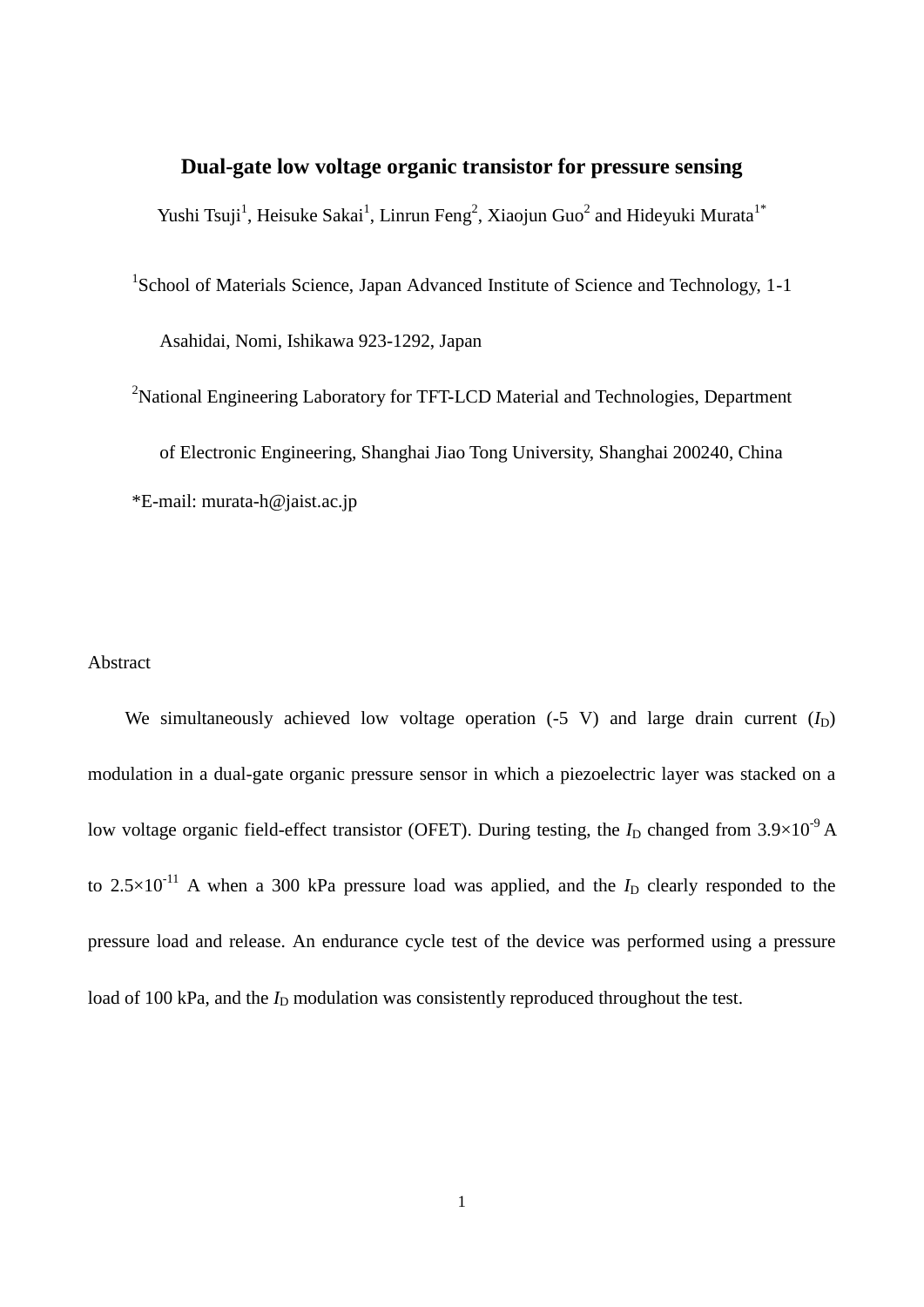## **Dual-gate low voltage organic transistor for pressure sensing**

Yushi Tsuji<sup>1</sup>, Heisuke Sakai<sup>1</sup>, Linrun Feng<sup>2</sup>, Xiaojun Guo<sup>2</sup> and Hideyuki Murata<sup>1\*</sup>

<sup>1</sup>School of Materials Science, Japan Advanced Institute of Science and Technology, 1-1 Asahidai, Nomi, Ishikawa 923-1292, Japan

<sup>2</sup>National Engineering Laboratory for TFT-LCD Material and Technologies, Department of Electronic Engineering, Shanghai Jiao Tong University, Shanghai 200240, China \*E-mail: murata-h@jaist.ac.jp

### Abstract

We simultaneously achieved low voltage operation  $(-5 \text{ V})$  and large drain current  $(I_D)$ modulation in a dual-gate organic pressure sensor in which a piezoelectric layer was stacked on a low voltage organic field-effect transistor (OFET). During testing, the  $I_D$  changed from  $3.9 \times 10^{-9}$  A to  $2.5 \times 10^{-11}$  A when a 300 kPa pressure load was applied, and the  $I_D$  clearly responded to the pressure load and release. An endurance cycle test of the device was performed using a pressure load of 100 kPa, and the  $I_D$  modulation was consistently reproduced throughout the test.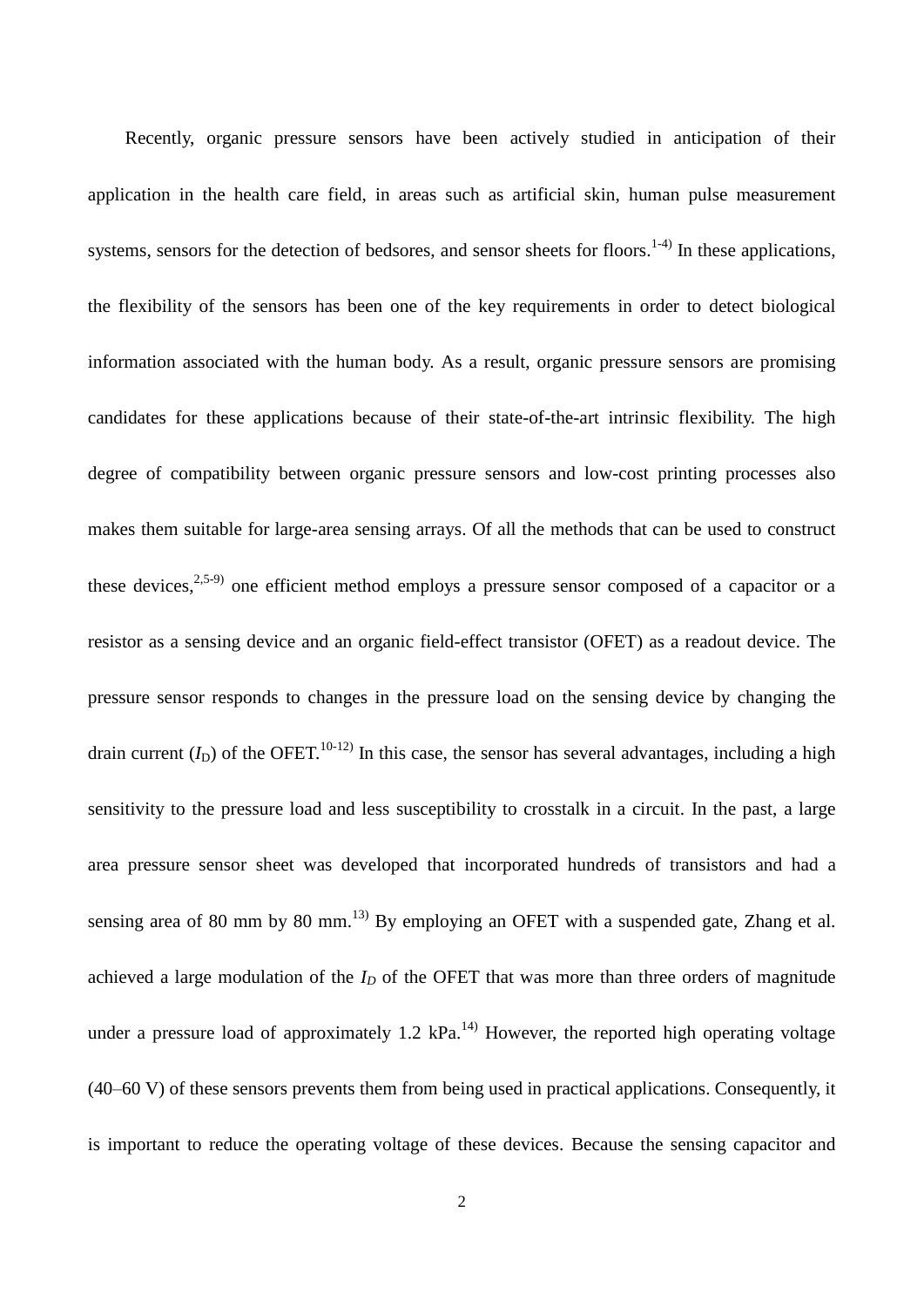Recently, organic pressure sensors have been actively studied in anticipation of their application in the health care field, in areas such as artificial skin, human pulse measurement systems, sensors for the detection of bedsores, and sensor sheets for floors.<sup>1-4)</sup> In these applications, the flexibility of the sensors has been one of the key requirements in order to detect biological information associated with the human body. As a result, organic pressure sensors are promising candidates for these applications because of their state-of-the-art intrinsic flexibility. The high degree of compatibility between organic pressure sensors and low-cost printing processes also makes them suitable for large-area sensing arrays. Of all the methods that can be used to construct these devices,  $2,5-9$  one efficient method employs a pressure sensor composed of a capacitor or a resistor as a sensing device and an organic field-effect transistor (OFET) as a readout device. The pressure sensor responds to changes in the pressure load on the sensing device by changing the drain current  $(I_D)$  of the OFET.<sup>10-12)</sup> In this case, the sensor has several advantages, including a high sensitivity to the pressure load and less susceptibility to crosstalk in a circuit. In the past, a large area pressure sensor sheet was developed that incorporated hundreds of transistors and had a sensing area of 80 mm by 80 mm. $^{13)}$  By employing an OFET with a suspended gate, Zhang et al. achieved a large modulation of the *I<sup>D</sup>* of the OFET that was more than three orders of magnitude under a pressure load of approximately 1.2  $kPa$ <sup>14)</sup> However, the reported high operating voltage (40–60 V) of these sensors prevents them from being used in practical applications. Consequently, it is important to reduce the operating voltage of these devices. Because the sensing capacitor and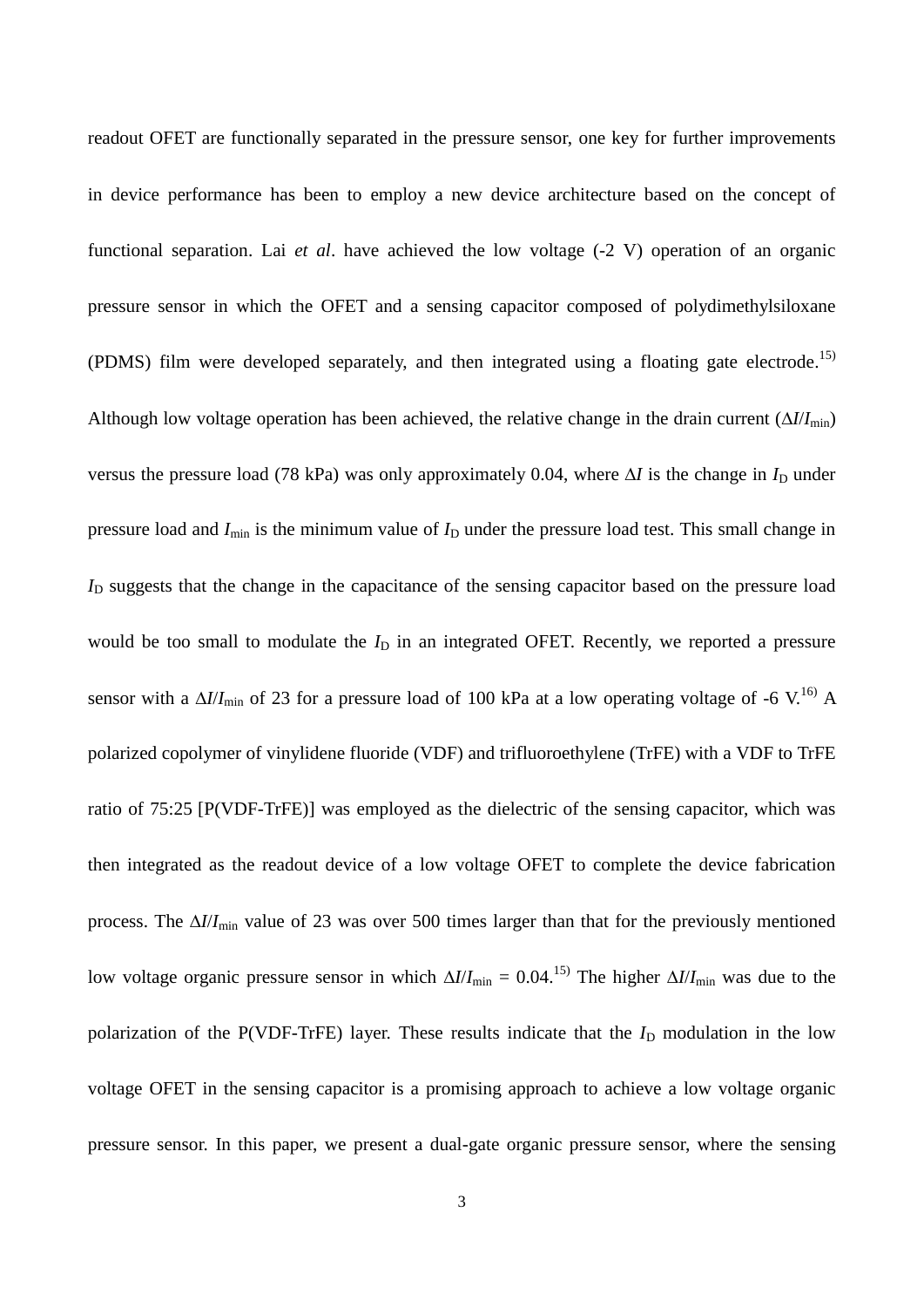readout OFET are functionally separated in the pressure sensor, one key for further improvements in device performance has been to employ a new device architecture based on the concept of functional separation. Lai *et al*. have achieved the low voltage (-2 V) operation of an organic pressure sensor in which the OFET and a sensing capacitor composed of polydimethylsiloxane (PDMS) film were developed separately, and then integrated using a floating gate electrode. 15) Although low voltage operation has been achieved, the relative change in the drain current  $(\Delta l / I_{\text{min}})$ versus the pressure load (78 kPa) was only approximately 0.04, where  $\Delta I$  is the change in  $I_D$  under pressure load and  $I_{\text{min}}$  is the minimum value of  $I_D$  under the pressure load test. This small change in  $I<sub>D</sub>$  suggests that the change in the capacitance of the sensing capacitor based on the pressure load would be too small to modulate the  $I_D$  in an integrated OFET. Recently, we reported a pressure sensor with a  $\Delta I/I_{\text{min}}$  of 23 for a pressure load of 100 kPa at a low operating voltage of -6 V.<sup>16)</sup> A polarized copolymer of vinylidene fluoride (VDF) and trifluoroethylene (TrFE) with a VDF to TrFE ratio of 75:25 [P(VDF-TrFE)] was employed as the dielectric of the sensing capacitor, which was then integrated as the readout device of a low voltage OFET to complete the device fabrication process. The  $\Delta I/I_{\text{min}}$  value of 23 was over 500 times larger than that for the previously mentioned low voltage organic pressure sensor in which  $\Delta I/I_{\text{min}} = 0.04$ .<sup>15)</sup> The higher  $\Delta I/I_{\text{min}}$  was due to the polarization of the P(VDF-TrFE) layer. These results indicate that the  $I<sub>D</sub>$  modulation in the low voltage OFET in the sensing capacitor is a promising approach to achieve a low voltage organic pressure sensor. In this paper, we present a dual-gate organic pressure sensor, where the sensing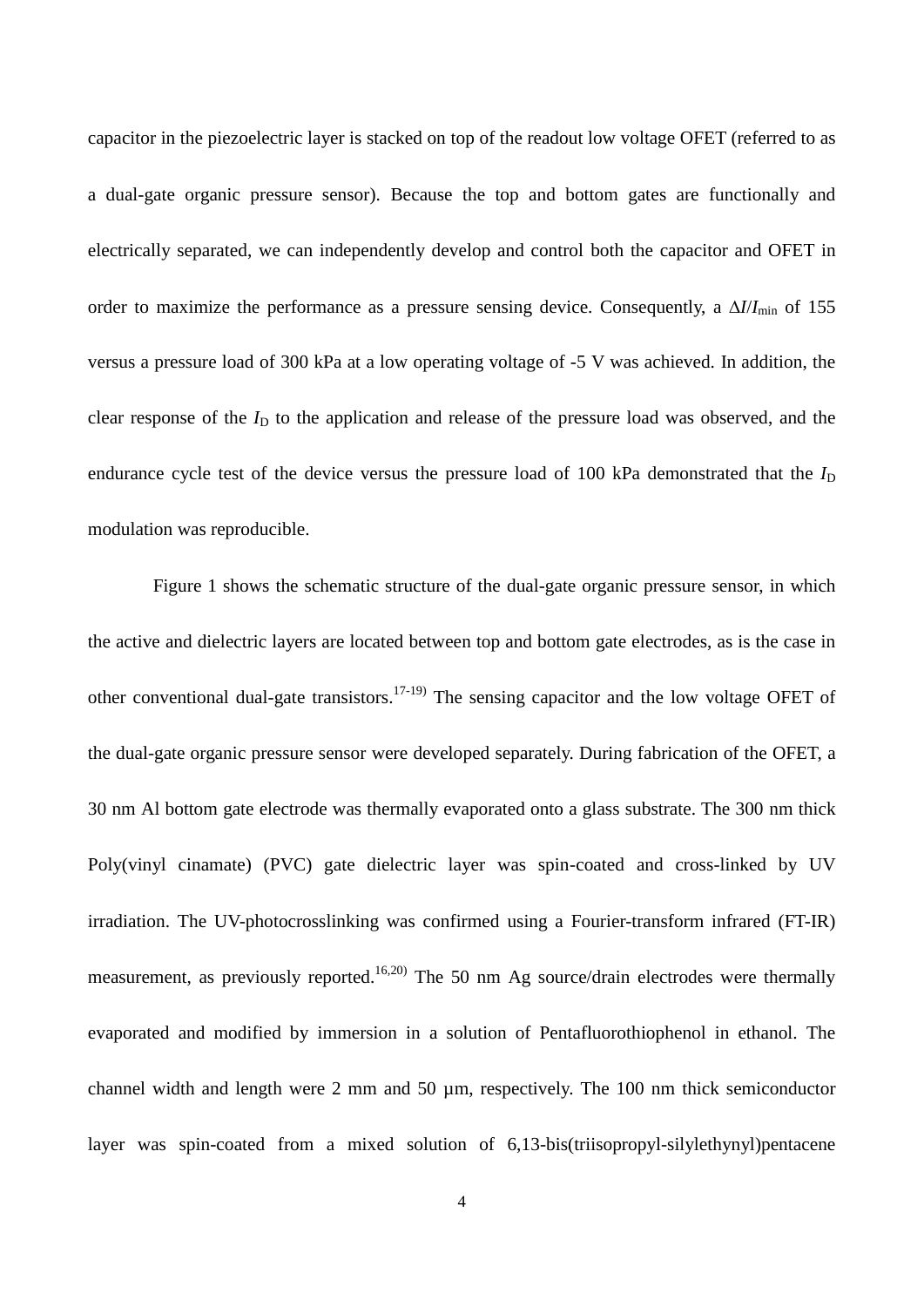capacitor in the piezoelectric layer is stacked on top of the readout low voltage OFET (referred to as a dual-gate organic pressure sensor). Because the top and bottom gates are functionally and electrically separated, we can independently develop and control both the capacitor and OFET in order to maximize the performance as a pressure sensing device. Consequently, a  $\Delta l / I_{\text{min}}$  of 155 versus a pressure load of 300 kPa at a low operating voltage of -5 V was achieved. In addition, the clear response of the  $I_D$  to the application and release of the pressure load was observed, and the endurance cycle test of the device versus the pressure load of 100 kPa demonstrated that the  $I_D$ modulation was reproducible.

Figure 1 shows the schematic structure of the dual-gate organic pressure sensor, in which the active and dielectric layers are located between top and bottom gate electrodes, as is the case in other conventional dual-gate transistors.<sup>17-19)</sup> The sensing capacitor and the low voltage OFET of the dual-gate organic pressure sensor were developed separately. During fabrication of the OFET, a 30 nm Al bottom gate electrode was thermally evaporated onto a glass substrate. The 300 nm thick Poly(vinyl cinamate) (PVC) gate dielectric layer was spin-coated and cross-linked by UV irradiation. The UV-photocrosslinking was confirmed using a Fourier-transform infrared (FT-IR) measurement, as previously reported.<sup>16,20)</sup> The 50 nm Ag source/drain electrodes were thermally evaporated and modified by immersion in a solution of Pentafluorothiophenol in ethanol. The channel width and length were 2 mm and 50 µm, respectively. The 100 nm thick semiconductor layer was spin-coated from a mixed solution of 6,13-bis(triisopropyl-silylethynyl)pentacene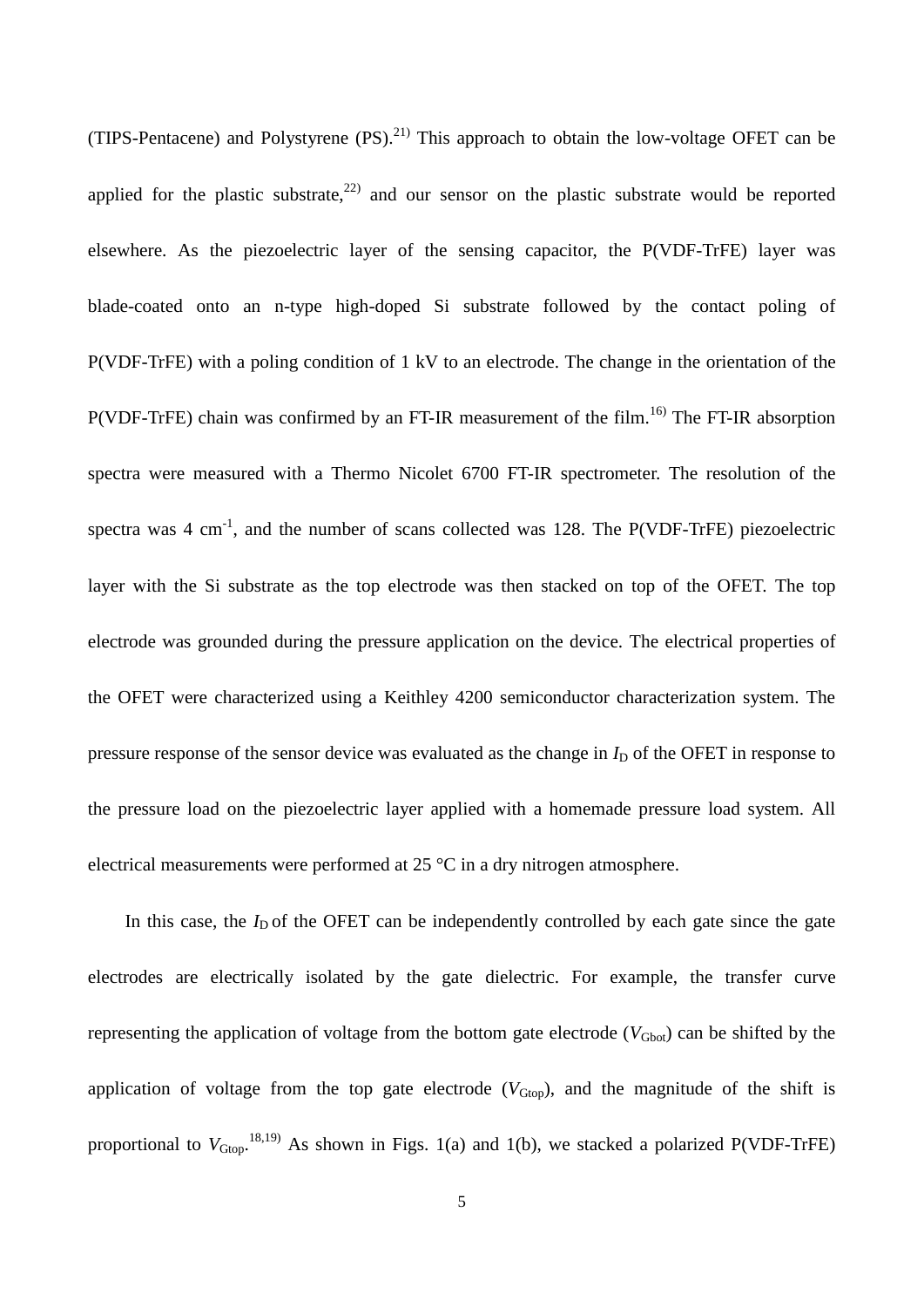(TIPS-Pentacene) and Polystyrene  $(PS)$ .<sup>21)</sup> This approach to obtain the low-voltage OFET can be applied for the plastic substrate,<sup>22)</sup> and our sensor on the plastic substrate would be reported elsewhere. As the piezoelectric layer of the sensing capacitor, the P(VDF-TrFE) layer was blade-coated onto an n-type high-doped Si substrate followed by the contact poling of P(VDF-TrFE) with a poling condition of 1 kV to an electrode. The change in the orientation of the  $P(VDF-TrFE)$  chain was confirmed by an FT-IR measurement of the film.<sup>16)</sup> The FT-IR absorption spectra were measured with a Thermo Nicolet 6700 FT-IR spectrometer. The resolution of the spectra was  $4 \text{ cm}^{-1}$ , and the number of scans collected was 128. The P(VDF-TrFE) piezoelectric layer with the Si substrate as the top electrode was then stacked on top of the OFET. The top electrode was grounded during the pressure application on the device. The electrical properties of the OFET were characterized using a Keithley 4200 semiconductor characterization system. The pressure response of the sensor device was evaluated as the change in  $I_D$  of the OFET in response to the pressure load on the piezoelectric layer applied with a homemade pressure load system. All electrical measurements were performed at 25 °C in a dry nitrogen atmosphere.

In this case, the  $I_D$  of the OFET can be independently controlled by each gate since the gate electrodes are electrically isolated by the gate dielectric. For example, the transfer curve representing the application of voltage from the bottom gate electrode  $(V_{Gbot})$  can be shifted by the application of voltage from the top gate electrode  $(V_{Gtop})$ , and the magnitude of the shift is proportional to  $V_{Gtop}$ .<sup>18,19)</sup> As shown in Figs. 1(a) and 1(b), we stacked a polarized P(VDF-TrFE)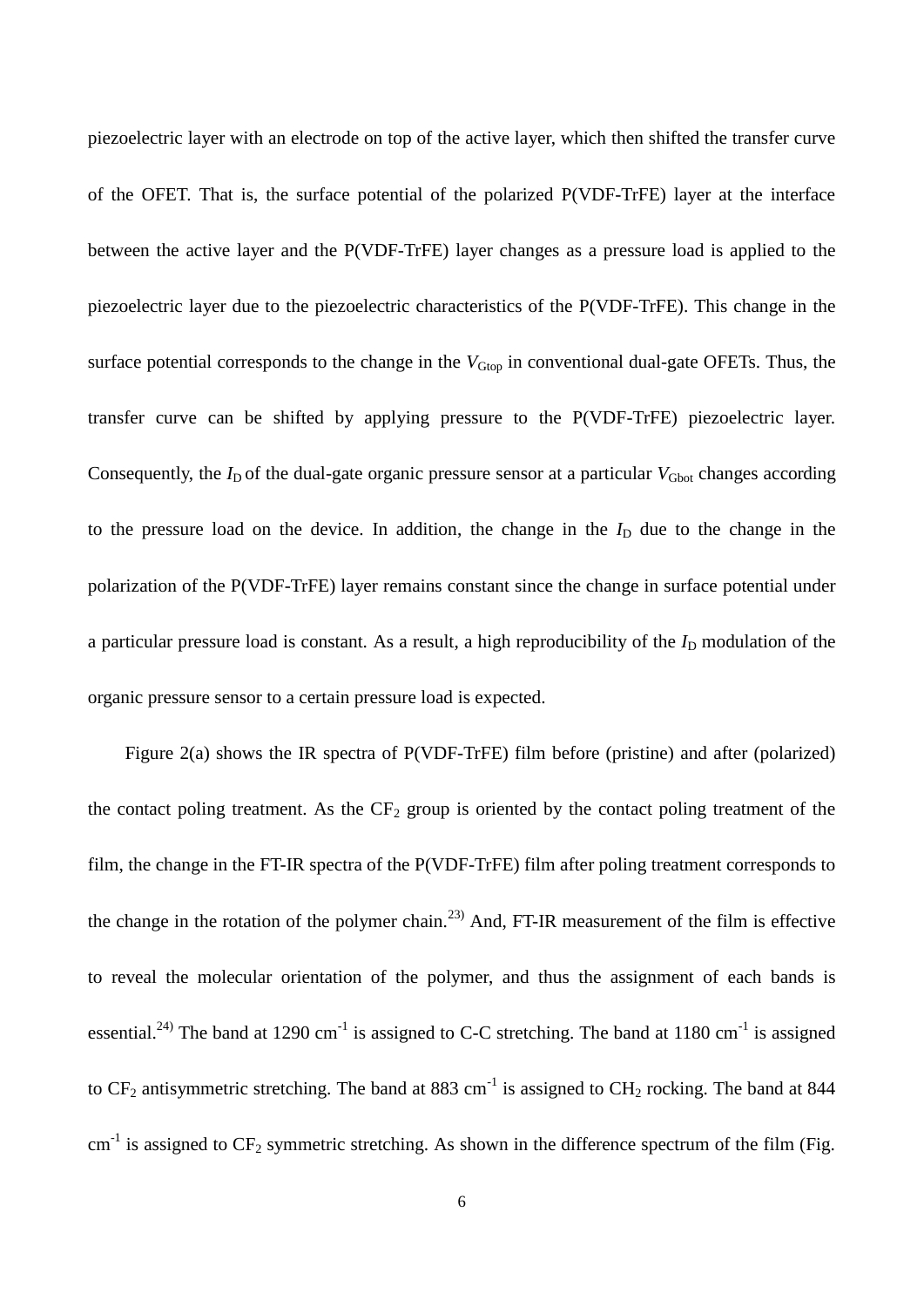piezoelectric layer with an electrode on top of the active layer, which then shifted the transfer curve of the OFET. That is, the surface potential of the polarized P(VDF-TrFE) layer at the interface between the active layer and the P(VDF-TrFE) layer changes as a pressure load is applied to the piezoelectric layer due to the piezoelectric characteristics of the P(VDF-TrFE). This change in the surface potential corresponds to the change in the  $V_{Gtop}$  in conventional dual-gate OFETs. Thus, the transfer curve can be shifted by applying pressure to the P(VDF-TrFE) piezoelectric layer. Consequently, the  $I_D$  of the dual-gate organic pressure sensor at a particular  $V_{Gbot}$  changes according to the pressure load on the device. In addition, the change in the  $I<sub>D</sub>$  due to the change in the polarization of the P(VDF-TrFE) layer remains constant since the change in surface potential under a particular pressure load is constant. As a result, a high reproducibility of the  $I_D$  modulation of the organic pressure sensor to a certain pressure load is expected.

Figure 2(a) shows the IR spectra of P(VDF-TrFE) film before (pristine) and after (polarized) the contact poling treatment. As the  $CF_2$  group is oriented by the contact poling treatment of the film, the change in the FT-IR spectra of the P(VDF-TrFE) film after poling treatment corresponds to the change in the rotation of the polymer chain.<sup>23)</sup> And, FT-IR measurement of the film is effective to reveal the molecular orientation of the polymer, and thus the assignment of each bands is essential.<sup>24)</sup> The band at 1290 cm<sup>-1</sup> is assigned to C-C stretching. The band at 1180 cm<sup>-1</sup> is assigned to  $CF_2$  antisymmetric stretching. The band at 883 cm<sup>-1</sup> is assigned to  $CH_2$  rocking. The band at 844  $cm<sup>-1</sup>$  is assigned to  $CF_2$  symmetric stretching. As shown in the difference spectrum of the film (Fig.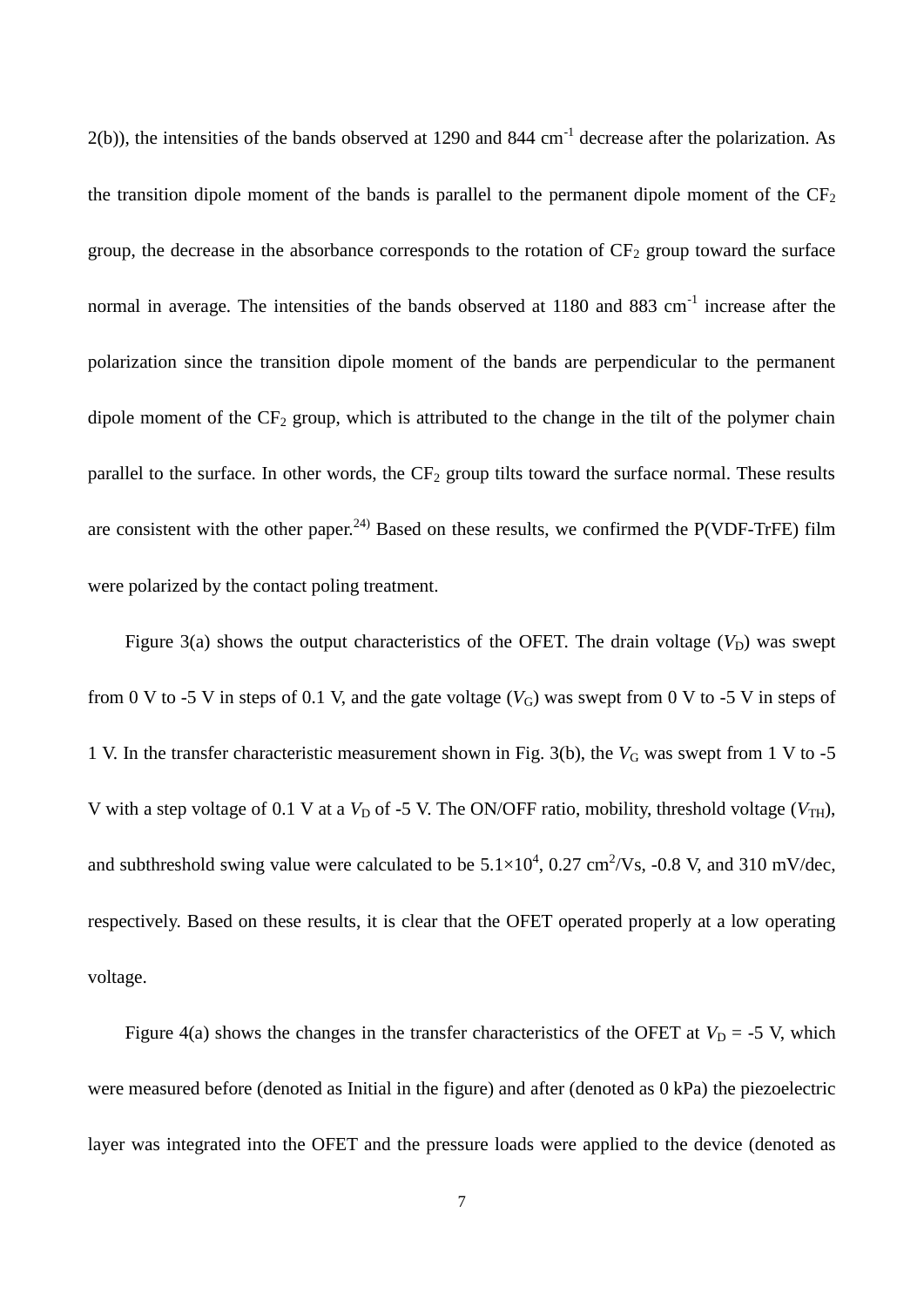$2(b)$ ), the intensities of the bands observed at 1290 and 844 cm<sup>-1</sup> decrease after the polarization. As the transition dipole moment of the bands is parallel to the permanent dipole moment of the  $CF_2$ group, the decrease in the absorbance corresponds to the rotation of  $CF_2$  group toward the surface normal in average. The intensities of the bands observed at  $1180$  and  $883$  cm<sup>-1</sup> increase after the polarization since the transition dipole moment of the bands are perpendicular to the permanent dipole moment of the  $CF_2$  group, which is attributed to the change in the tilt of the polymer chain parallel to the surface. In other words, the  $CF_2$  group tilts toward the surface normal. These results are consistent with the other paper.<sup>24)</sup> Based on these results, we confirmed the P(VDF-TrFE) film were polarized by the contact poling treatment.

Figure 3(a) shows the output characteristics of the OFET. The drain voltage  $(V_D)$  was swept from 0 V to -5 V in steps of 0.1 V, and the gate voltage  $(V_G)$  was swept from 0 V to -5 V in steps of 1 V. In the transfer characteristic measurement shown in Fig. 3(b), the  $V_G$  was swept from 1 V to -5 V with a step voltage of 0.1 V at a  $V_D$  of -5 V. The ON/OFF ratio, mobility, threshold voltage ( $V_{TH}$ ), and subthreshold swing value were calculated to be  $5.1 \times 10^4$ , 0.27 cm<sup>2</sup>/Vs, -0.8 V, and 310 mV/dec, respectively. Based on these results, it is clear that the OFET operated properly at a low operating voltage.

Figure 4(a) shows the changes in the transfer characteristics of the OFET at  $V_D = -5$  V, which were measured before (denoted as Initial in the figure) and after (denoted as 0 kPa) the piezoelectric layer was integrated into the OFET and the pressure loads were applied to the device (denoted as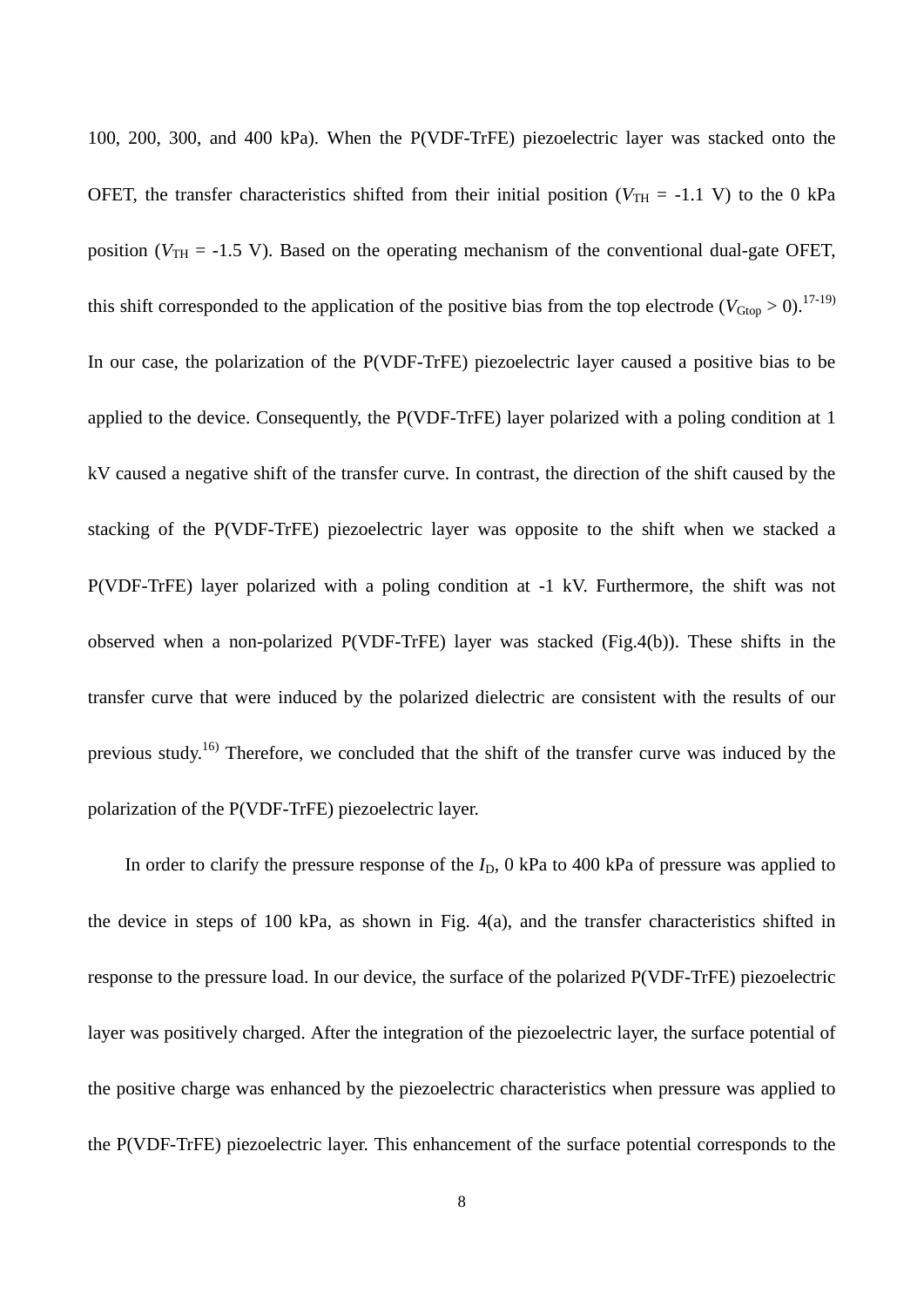100, 200, 300, and 400 kPa). When the P(VDF-TrFE) piezoelectric layer was stacked onto the OFET, the transfer characteristics shifted from their initial position ( $V_{TH}$  = -1.1 V) to the 0 kPa position ( $V_{TH}$  = -1.5 V). Based on the operating mechanism of the conventional dual-gate OFET, this shift corresponded to the application of the positive bias from the top electrode ( $V_{\text{Gtop}} > 0$ ).<sup>17-19)</sup> In our case, the polarization of the P(VDF-TrFE) piezoelectric layer caused a positive bias to be applied to the device. Consequently, the P(VDF-TrFE) layer polarized with a poling condition at 1 kV caused a negative shift of the transfer curve. In contrast, the direction of the shift caused by the stacking of the P(VDF-TrFE) piezoelectric layer was opposite to the shift when we stacked a P(VDF-TrFE) layer polarized with a poling condition at -1 kV. Furthermore, the shift was not observed when a non-polarized P(VDF-TrFE) layer was stacked (Fig.4(b)). These shifts in the transfer curve that were induced by the polarized dielectric are consistent with the results of our previous study.<sup>16)</sup> Therefore, we concluded that the shift of the transfer curve was induced by the polarization of the P(VDF-TrFE) piezoelectric layer.

In order to clarify the pressure response of the  $I<sub>D</sub>$ , 0 kPa to 400 kPa of pressure was applied to the device in steps of 100 kPa, as shown in Fig. 4(a), and the transfer characteristics shifted in response to the pressure load. In our device, the surface of the polarized P(VDF-TrFE) piezoelectric layer was positively charged. After the integration of the piezoelectric layer, the surface potential of the positive charge was enhanced by the piezoelectric characteristics when pressure was applied to the P(VDF-TrFE) piezoelectric layer. This enhancement of the surface potential corresponds to the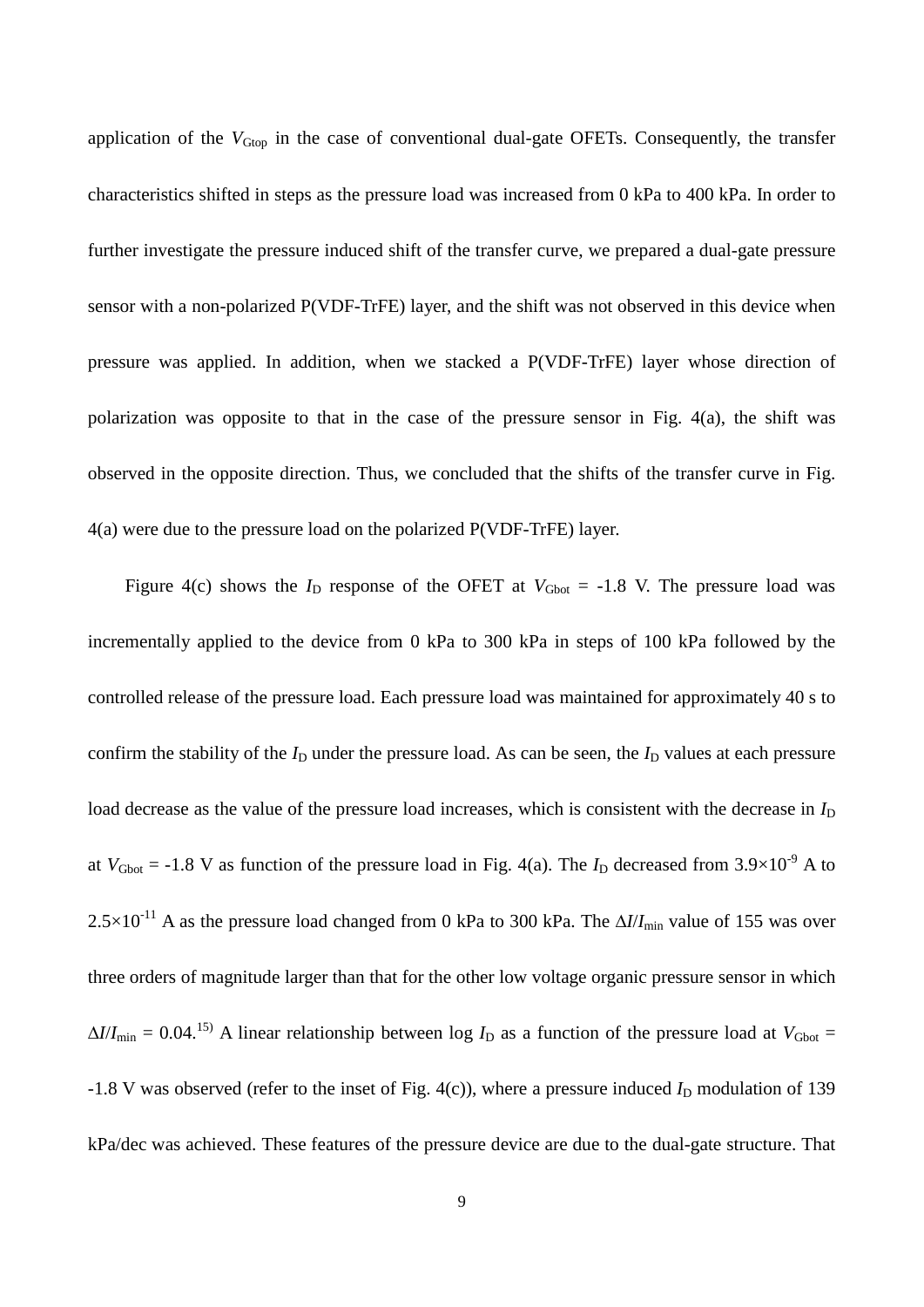application of the *V*<sub>Gtop</sub> in the case of conventional dual-gate OFETs. Consequently, the transfer characteristics shifted in steps as the pressure load was increased from 0 kPa to 400 kPa. In order to further investigate the pressure induced shift of the transfer curve, we prepared a dual-gate pressure sensor with a non-polarized P(VDF-TrFE) layer, and the shift was not observed in this device when pressure was applied. In addition, when we stacked a P(VDF-TrFE) layer whose direction of polarization was opposite to that in the case of the pressure sensor in Fig. 4(a), the shift was observed in the opposite direction. Thus, we concluded that the shifts of the transfer curve in Fig. 4(a) were due to the pressure load on the polarized P(VDF-TrFE) layer.

Figure 4(c) shows the  $I_D$  response of the OFET at  $V_{Gbot} = -1.8$  V. The pressure load was incrementally applied to the device from 0 kPa to 300 kPa in steps of 100 kPa followed by the controlled release of the pressure load. Each pressure load was maintained for approximately 40 s to confirm the stability of the  $I_D$  under the pressure load. As can be seen, the  $I_D$  values at each pressure load decrease as the value of the pressure load increases, which is consistent with the decrease in  $I_D$ at  $V_{\text{Gbot}} = -1.8 \text{ V}$  as function of the pressure load in Fig. 4(a). The  $I_{\text{D}}$  decreased from  $3.9 \times 10^{-9} \text{ A}$  to  $2.5 \times 10^{-11}$  A as the pressure load changed from 0 kPa to 300 kPa. The  $\Delta l / I_{\text{min}}$  value of 155 was over three orders of magnitude larger than that for the other low voltage organic pressure sensor in which  $\Delta I/I_{\text{min}} = 0.04$ <sup>15)</sup> A linear relationship between log  $I_D$  as a function of the pressure load at  $V_{\text{Gbot}} =$  $-1.8$  V was observed (refer to the inset of Fig. 4(c)), where a pressure induced  $I<sub>D</sub>$  modulation of 139 kPa/dec was achieved. These features of the pressure device are due to the dual-gate structure. That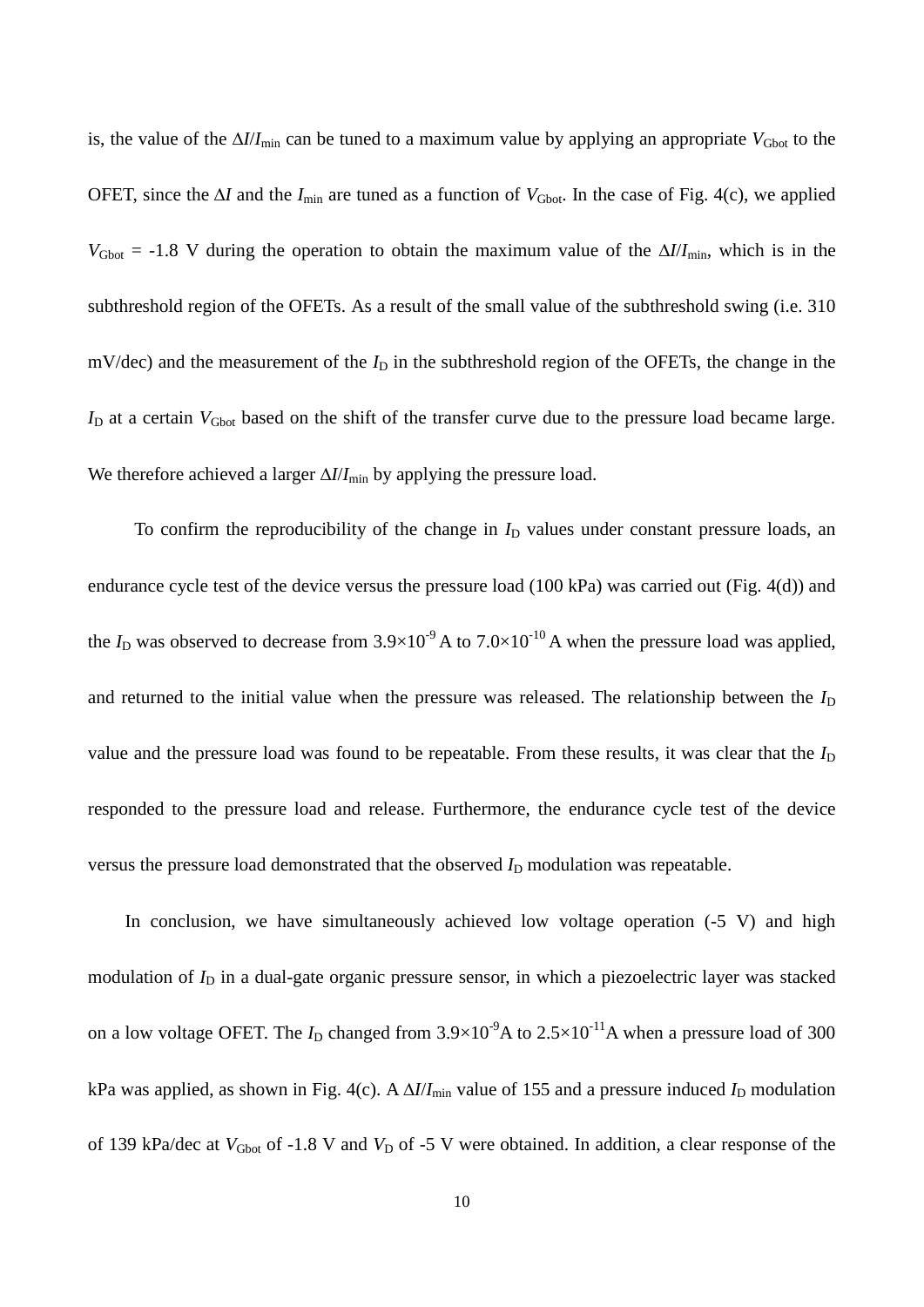is, the value of the  $\Delta I/I_{\text{min}}$  can be tuned to a maximum value by applying an appropriate  $V_{\text{Gbot}}$  to the OFET, since the  $\Delta I$  and the  $I_{\text{min}}$  are tuned as a function of  $V_{\text{Gbot}}$ . In the case of Fig. 4(c), we applied  $V_{\text{Gbot}} = -1.8$  V during the operation to obtain the maximum value of the  $\Delta I/I_{\text{min}}$ , which is in the subthreshold region of the OFETs. As a result of the small value of the subthreshold swing (i.e. 310 mV/dec) and the measurement of the  $I<sub>D</sub>$  in the subthreshold region of the OFETs, the change in the  $I_D$  at a certain  $V_{Gbot}$  based on the shift of the transfer curve due to the pressure load became large. We therefore achieved a larger  $\Delta I/I_{\text{min}}$  by applying the pressure load.

To confirm the reproducibility of the change in  $I<sub>D</sub>$  values under constant pressure loads, an endurance cycle test of the device versus the pressure load (100 kPa) was carried out (Fig. 4(d)) and the  $I_D$  was observed to decrease from  $3.9 \times 10^{-9}$  A to  $7.0 \times 10^{-10}$  A when the pressure load was applied, and returned to the initial value when the pressure was released. The relationship between the  $I<sub>D</sub>$ value and the pressure load was found to be repeatable. From these results, it was clear that the *I*<sub>D</sub> responded to the pressure load and release. Furthermore, the endurance cycle test of the device versus the pressure load demonstrated that the observed  $I_D$  modulation was repeatable.

In conclusion, we have simultaneously achieved low voltage operation  $(-5 V)$  and high modulation of  $I_D$  in a dual-gate organic pressure sensor, in which a piezoelectric layer was stacked on a low voltage OFET. The  $I_D$  changed from  $3.9 \times 10^{-9}$ A to  $2.5 \times 10^{-11}$ A when a pressure load of 300 kPa was applied, as shown in Fig. 4(c). A  $\Delta I/I_{\text{min}}$  value of 155 and a pressure induced  $I_D$  modulation of 139 kPa/dec at  $V_{\text{Gbot}}$  of -1.8 V and  $V_{\text{D}}$  of -5 V were obtained. In addition, a clear response of the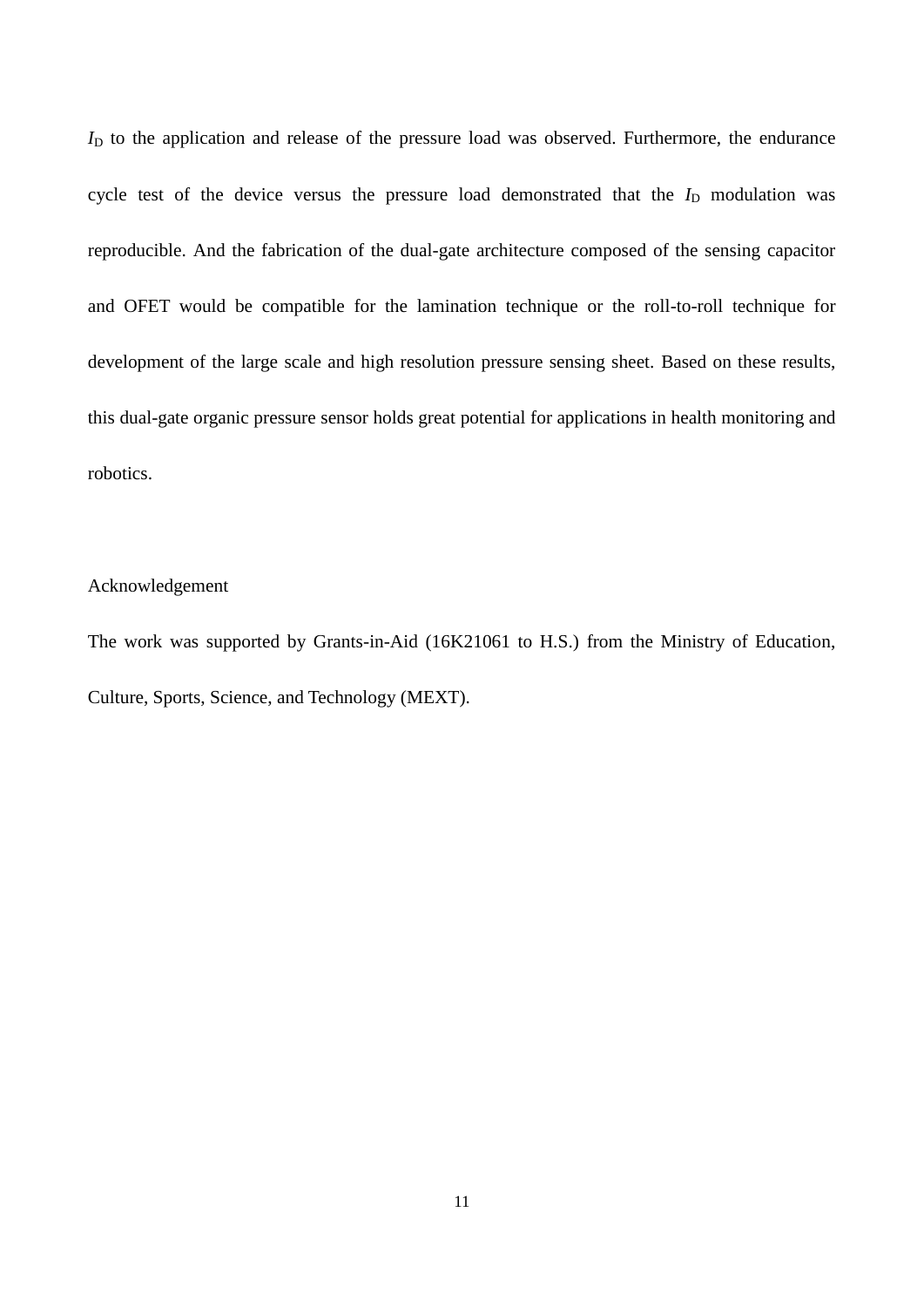$I<sub>D</sub>$  to the application and release of the pressure load was observed. Furthermore, the endurance cycle test of the device versus the pressure load demonstrated that the  $I_D$  modulation was reproducible. And the fabrication of the dual-gate architecture composed of the sensing capacitor and OFET would be compatible for the lamination technique or the roll-to-roll technique for development of the large scale and high resolution pressure sensing sheet. Based on these results, this dual-gate organic pressure sensor holds great potential for applications in health monitoring and robotics.

### Acknowledgement

The work was supported by Grants-in-Aid (16K21061 to H.S.) from the Ministry of Education, Culture, Sports, Science, and Technology (MEXT).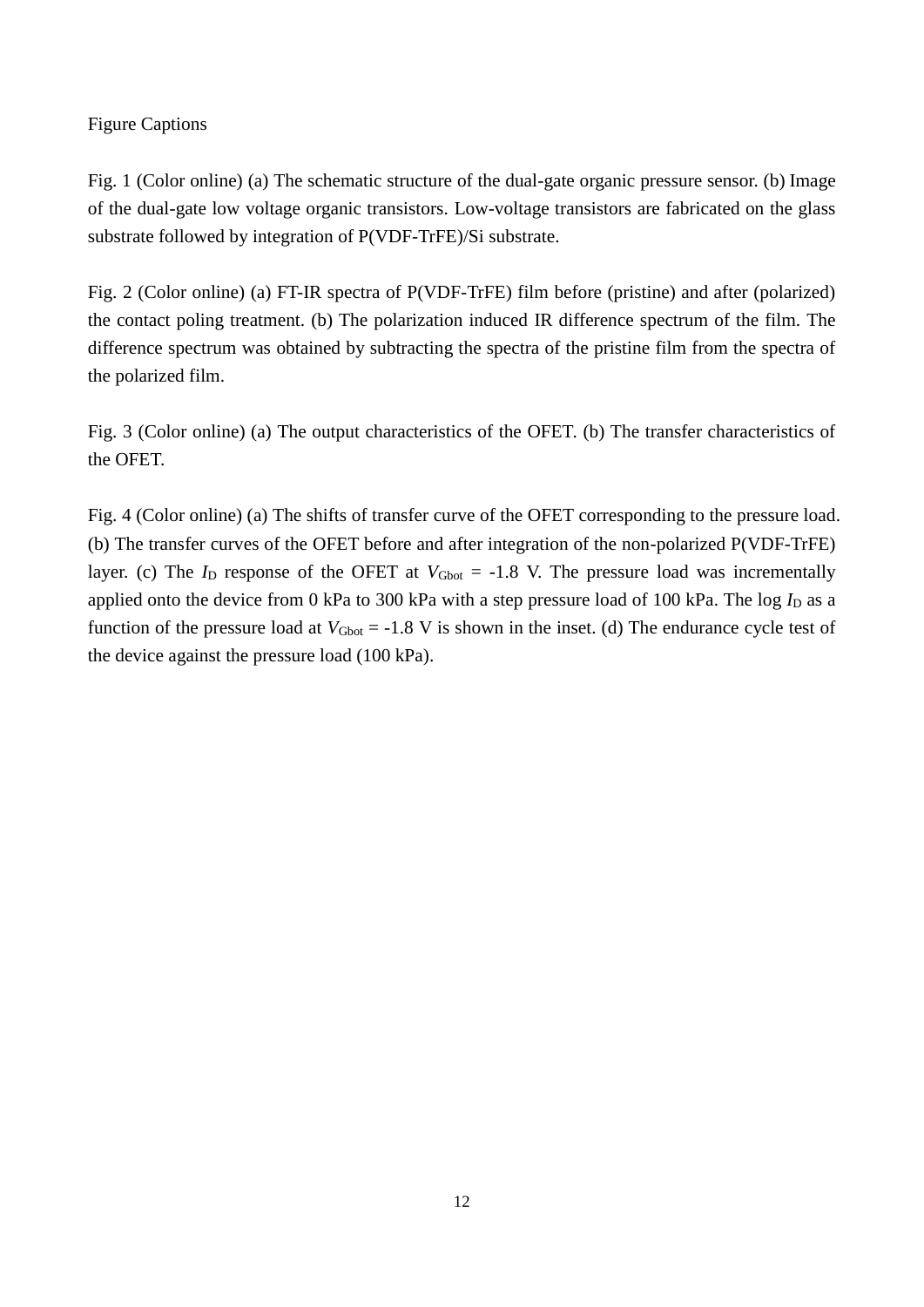## Figure Captions

Fig. 1 (Color online) (a) The schematic structure of the dual-gate organic pressure sensor. (b) Image of the dual-gate low voltage organic transistors. Low-voltage transistors are fabricated on the glass substrate followed by integration of P(VDF-TrFE)/Si substrate.

Fig. 2 (Color online) (a) FT-IR spectra of P(VDF-TrFE) film before (pristine) and after (polarized) the contact poling treatment. (b) The polarization induced IR difference spectrum of the film. The difference spectrum was obtained by subtracting the spectra of the pristine film from the spectra of the polarized film.

Fig. 3 (Color online) (a) The output characteristics of the OFET. (b) The transfer characteristics of the OFET.

Fig. 4 (Color online) (a) The shifts of transfer curve of the OFET corresponding to the pressure load. (b) The transfer curves of the OFET before and after integration of the non-polarized P(VDF-TrFE) layer. (c) The  $I_D$  response of the OFET at  $V_{Gbot} = -1.8$  V. The pressure load was incrementally applied onto the device from 0 kPa to 300 kPa with a step pressure load of 100 kPa. The log  $I_D$  as a function of the pressure load at  $V_{Gbot} = -1.8$  V is shown in the inset. (d) The endurance cycle test of the device against the pressure load (100 kPa).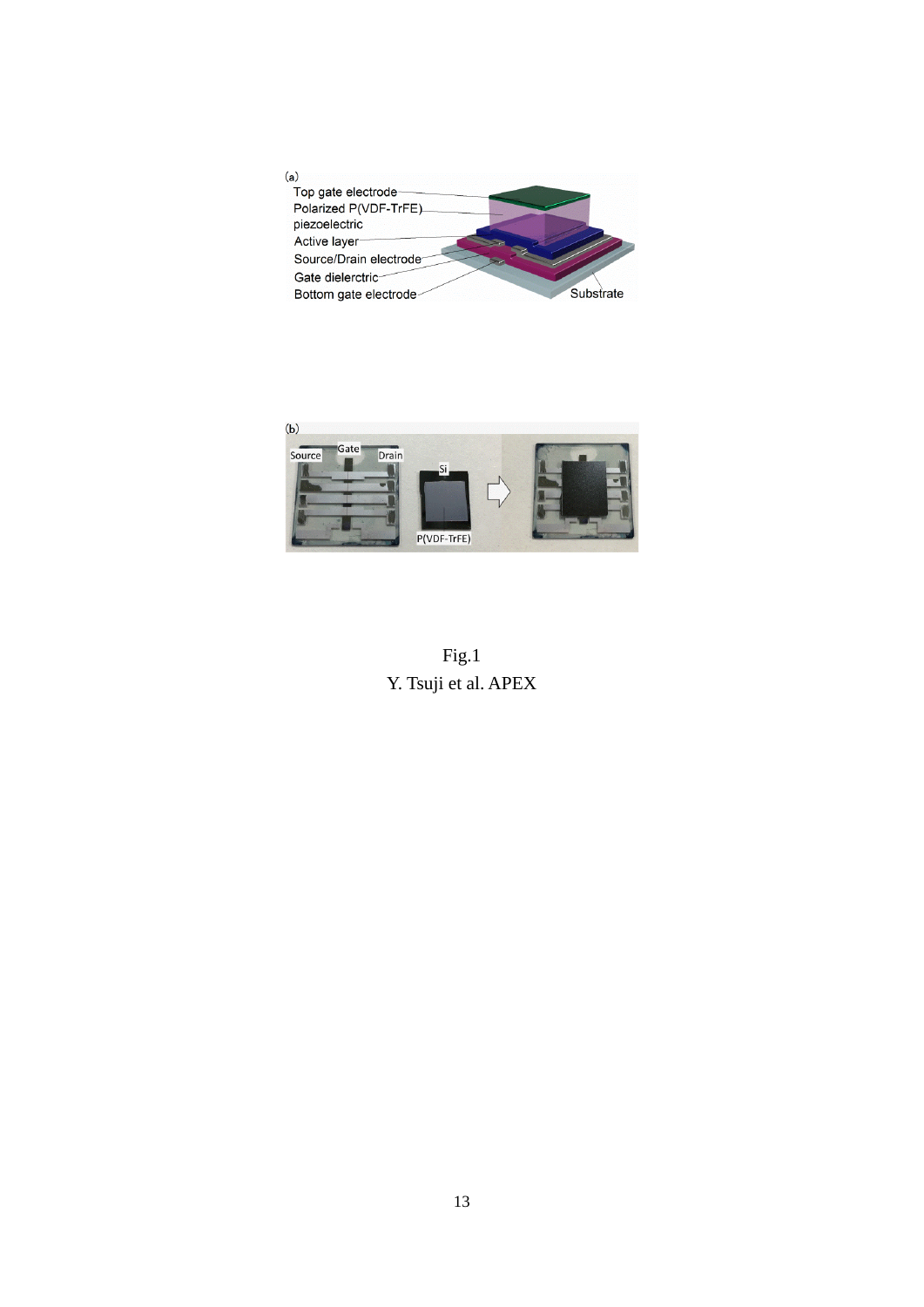



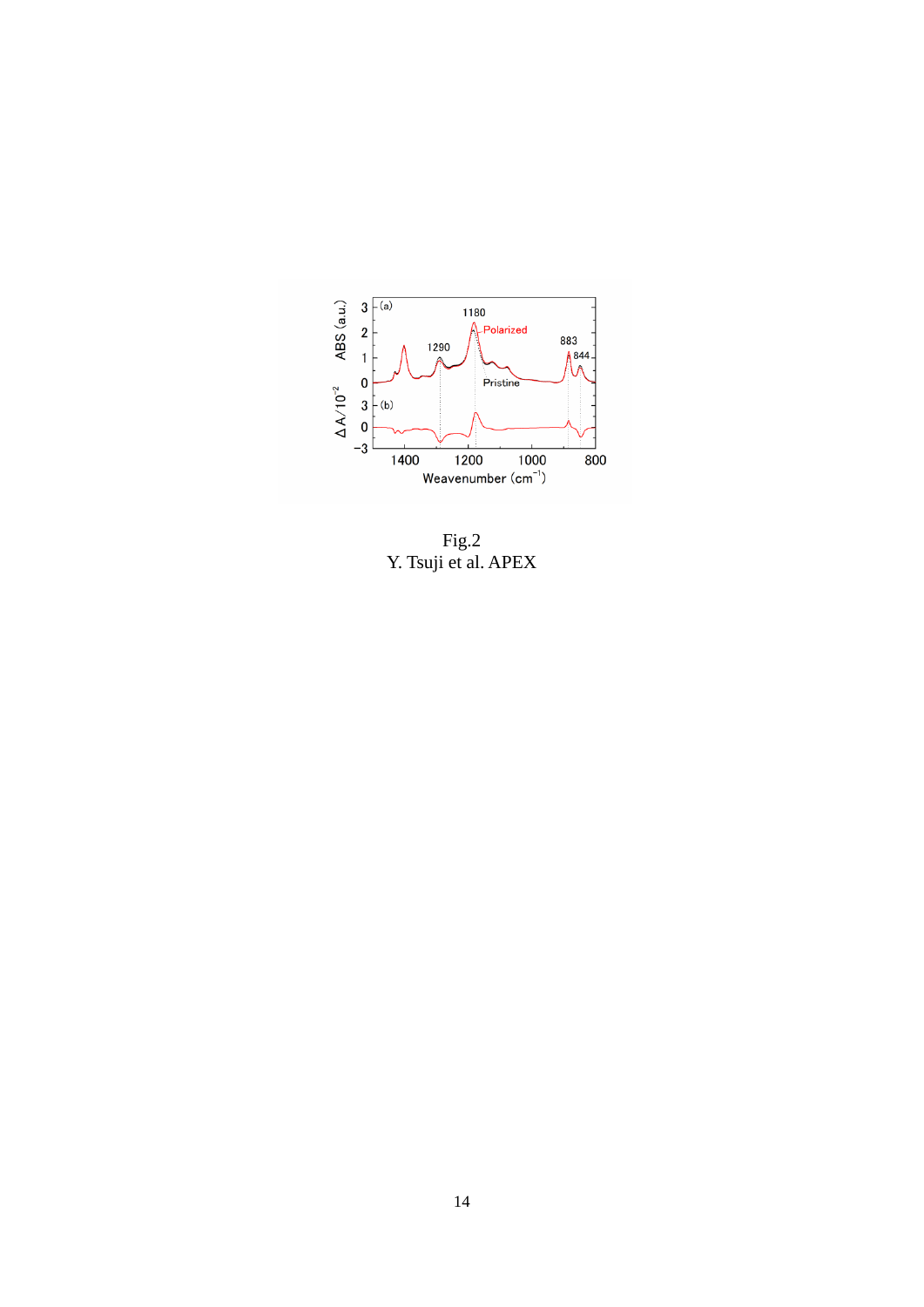

Fig.2 Y. Tsuji et al. APEX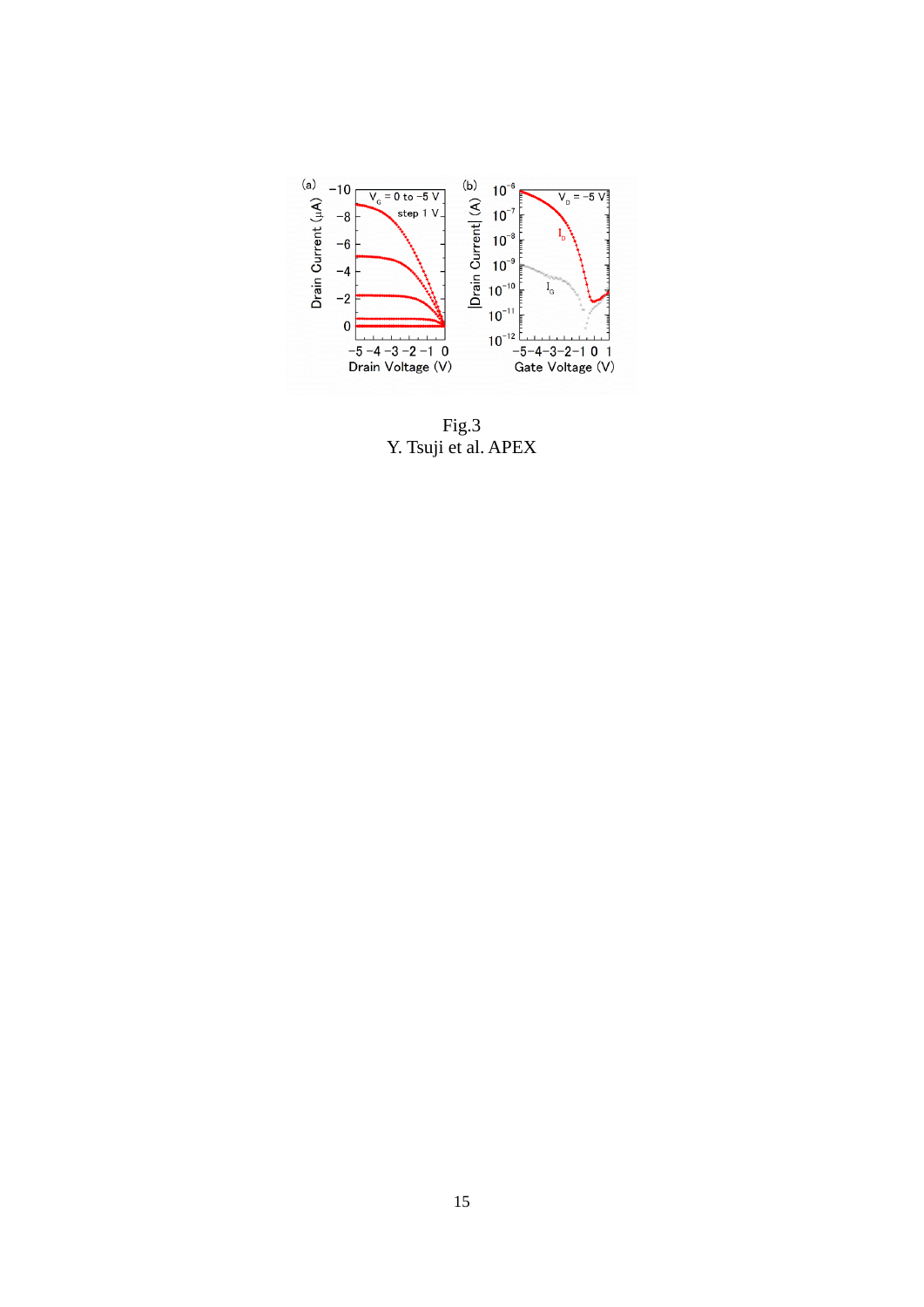

Fig.3 Y. Tsuji et al. APEX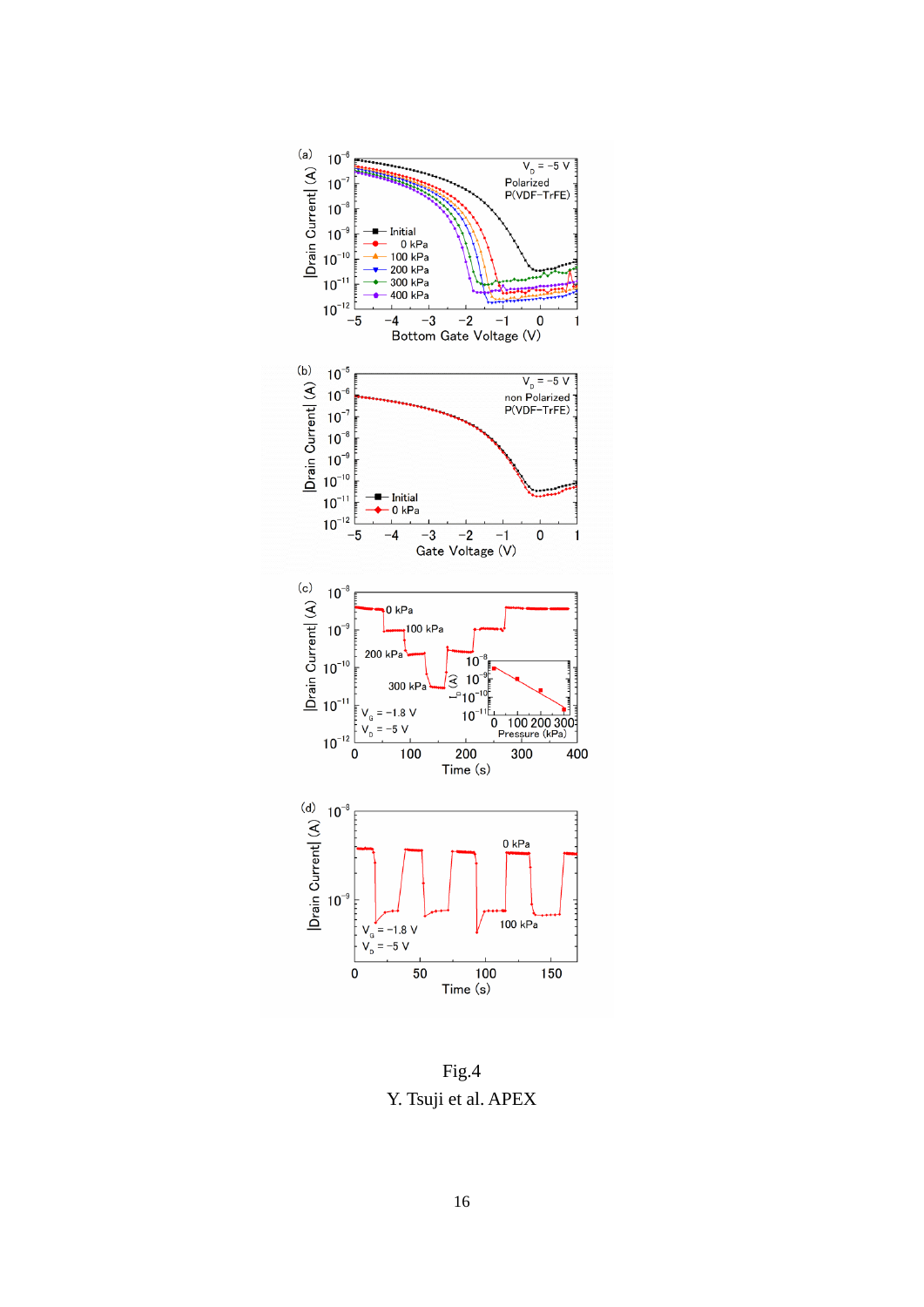

Fig.4 Y. Tsuji et al. APEX